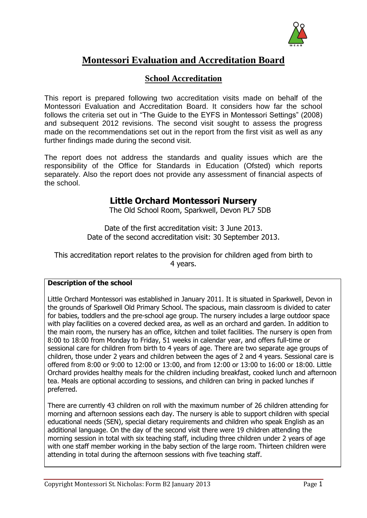

# **Montessori Evaluation and Accreditation Board**

# **School Accreditation**

This report is prepared following two accreditation visits made on behalf of the Montessori Evaluation and Accreditation Board. It considers how far the school follows the criteria set out in "The Guide to the EYFS in Montessori Settings" (2008) and subsequent 2012 revisions. The second visit sought to assess the progress made on the recommendations set out in the report from the first visit as well as any further findings made during the second visit.

The report does not address the standards and quality issues which are the responsibility of the Office for Standards in Education (Ofsted) which reports separately. Also the report does not provide any assessment of financial aspects of the school.

# **Little Orchard Montessori Nursery**

The Old School Room, Sparkwell, Devon PL7 5DB

Date of the first accreditation visit: 3 June 2013. Date of the second accreditation visit: 30 September 2013.

This accreditation report relates to the provision for children aged from birth to 4 years.

# **Description of the school**

Little Orchard Montessori was established in January 2011. It is situated in Sparkwell, Devon in the grounds of Sparkwell Old Primary School. The spacious, main classroom is divided to cater for babies, toddlers and the pre-school age group. The nursery includes a large outdoor space with play facilities on a covered decked area, as well as an orchard and garden. In addition to the main room, the nursery has an office, kitchen and toilet facilities. The nursery is open from 8:00 to 18:00 from Monday to Friday, 51 weeks in calendar year, and offers full-time or sessional care for children from birth to 4 years of age. There are two separate age groups of children, those under 2 years and children between the ages of 2 and 4 years. Sessional care is offered from 8:00 or 9:00 to 12:00 or 13:00, and from 12:00 or 13:00 to 16:00 or 18:00. Little Orchard provides healthy meals for the children including breakfast, cooked lunch and afternoon tea. Meals are optional according to sessions, and children can bring in packed lunches if preferred.

There are currently 43 children on roll with the maximum number of 26 children attending for morning and afternoon sessions each day. The nursery is able to support children with special educational needs (SEN), special dietary requirements and children who speak English as an additional language. On the day of the second visit there were 19 children attending the morning session in total with six teaching staff, including three children under 2 years of age with one staff member working in the baby section of the large room. Thirteen children were attending in total during the afternoon sessions with five teaching staff.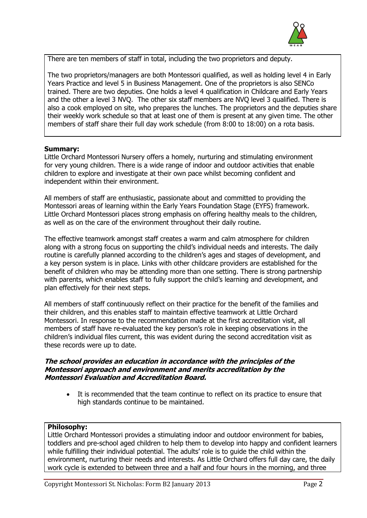

There are ten members of staff in total, including the two proprietors and deputy.

The two proprietors/managers are both Montessori qualified, as well as holding level 4 in Early Years Practice and level 5 in Business Management. One of the proprietors is also SENCo trained. There are two deputies. One holds a level 4 qualification in Childcare and Early Years and the other a level 3 NVQ. The other six staff members are NVQ level 3 qualified. There is also a cook employed on site, who prepares the lunches. The proprietors and the deputies share their weekly work schedule so that at least one of them is present at any given time. The other members of staff share their full day work schedule (from 8:00 to 18:00) on a rota basis.

#### **Summary:**

Little Orchard Montessori Nursery offers a homely, nurturing and stimulating environment for very young children. There is a wide range of indoor and outdoor activities that enable children to explore and investigate at their own pace whilst becoming confident and independent within their environment.

All members of staff are enthusiastic, passionate about and committed to providing the Montessori areas of learning within the Early Years Foundation Stage (EYFS) framework. Little Orchard Montessori places strong emphasis on offering healthy meals to the children, as well as on the care of the environment throughout their daily routine.

The effective teamwork amongst staff creates a warm and calm atmosphere for children along with a strong focus on supporting the child's individual needs and interests. The daily routine is carefully planned according to the children's ages and stages of development, and a key person system is in place. Links with other childcare providers are established for the benefit of children who may be attending more than one setting. There is strong partnership with parents, which enables staff to fully support the child's learning and development, and plan effectively for their next steps.

All members of staff continuously reflect on their practice for the benefit of the families and their children, and this enables staff to maintain effective teamwork at Little Orchard Montessori. In response to the recommendation made at the first accreditation visit, all members of staff have re-evaluated the key person's role in keeping observations in the children's individual files current, this was evident during the second accreditation visit as these records were up to date.

#### **The school provides an education in accordance with the principles of the Montessori approach and environment and merits accreditation by the Montessori Evaluation and Accreditation Board.**

 It is recommended that the team continue to reflect on its practice to ensure that high standards continue to be maintained.

#### **Philosophy:**

Little Orchard Montessori provides a stimulating indoor and outdoor environment for babies, toddlers and pre-school aged children to help them to develop into happy and confident learners while fulfilling their individual potential. The adults' role is to guide the child within the environment, nurturing their needs and interests. As Little Orchard offers full day care, the daily work cycle is extended to between three and a half and four hours in the morning, and three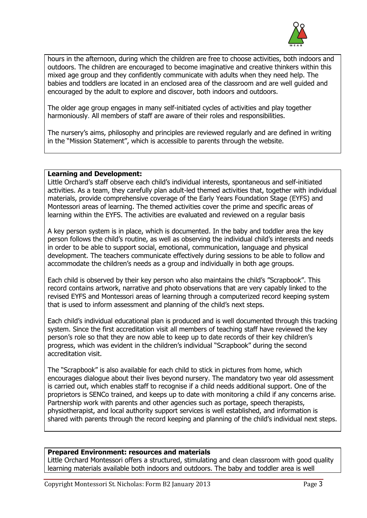

hours in the afternoon, during which the children are free to choose activities, both indoors and outdoors. The children are encouraged to become imaginative and creative thinkers within this mixed age group and they confidently communicate with adults when they need help. The babies and toddlers are located in an enclosed area of the classroom and are well guided and encouraged by the adult to explore and discover, both indoors and outdoors.

The older age group engages in many self-initiated cycles of activities and play together harmoniously. All members of staff are aware of their roles and responsibilities.

The nursery's aims, philosophy and principles are reviewed regularly and are defined in writing in the "Mission Statement", which is accessible to parents through the website.

# **Learning and Development:**

Little Orchard's staff observe each child's individual interests, spontaneous and self-initiated activities. As a team, they carefully plan adult-led themed activities that, together with individual materials, provide comprehensive coverage of the Early Years Foundation Stage (EYFS) and Montessori areas of learning. The themed activities cover the prime and specific areas of learning within the EYFS. The activities are evaluated and reviewed on a regular basis

A key person system is in place, which is documented. In the baby and toddler area the key person follows the child's routine, as well as observing the individual child's interests and needs in order to be able to support social, emotional, communication, language and physical development. The teachers communicate effectively during sessions to be able to follow and accommodate the children's needs as a group and individually in both age groups.

Each child is observed by their key person who also maintains the child's "Scrapbook". This record contains artwork, narrative and photo observations that are very capably linked to the revised EYFS and Montessori areas of learning through a computerized record keeping system that is used to inform assessment and planning of the child's next steps.

Each child's individual educational plan is produced and is well documented through this tracking system. Since the first accreditation visit all members of teaching staff have reviewed the key person's role so that they are now able to keep up to date records of their key children's progress, which was evident in the children's individual "Scrapbook" during the second accreditation visit.

The "Scrapbook" is also available for each child to stick in pictures from home, which encourages dialogue about their lives beyond nursery. The mandatory two year old assessment is carried out, which enables staff to recognise if a child needs additional support. One of the proprietors is SENCo trained, and keeps up to date with monitoring a child if any concerns arise. Partnership work with parents and other agencies such as portage, speech therapists, physiotherapist, and local authority support services is well established, and information is shared with parents through the record keeping and planning of the child's individual next steps.

#### **Prepared Environment: resources and materials**

Little Orchard Montessori offers a structured, stimulating and clean classroom with good quality learning materials available both indoors and outdoors. The baby and toddler area is well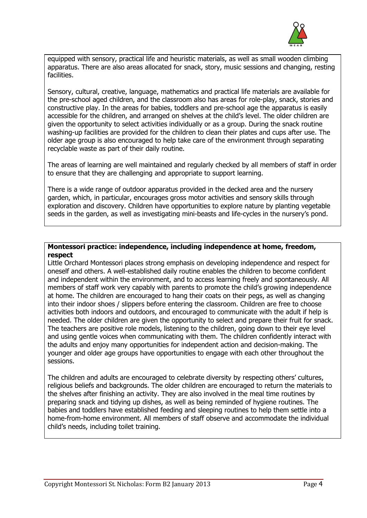

equipped with sensory, practical life and heuristic materials, as well as small wooden climbing apparatus. There are also areas allocated for snack, story, music sessions and changing, resting facilities.

Sensory, cultural, creative, language, mathematics and practical life materials are available for the pre-school aged children, and the classroom also has areas for role-play, snack, stories and constructive play. In the areas for babies, toddlers and pre-school age the apparatus is easily accessible for the children, and arranged on shelves at the child's level. The older children are given the opportunity to select activities individually or as a group. During the snack routine washing-up facilities are provided for the children to clean their plates and cups after use. The older age group is also encouraged to help take care of the environment through separating recyclable waste as part of their daily routine.

The areas of learning are well maintained and regularly checked by all members of staff in order to ensure that they are challenging and appropriate to support learning.

There is a wide range of outdoor apparatus provided in the decked area and the nursery garden, which, in particular, encourages gross motor activities and sensory skills through exploration and discovery. Children have opportunities to explore nature by planting vegetable seeds in the garden, as well as investigating mini-beasts and life-cycles in the nursery's pond.

# **Montessori practice: independence, including independence at home, freedom, respect**

Little Orchard Montessori places strong emphasis on developing independence and respect for oneself and others. A well-established daily routine enables the children to become confident and independent within the environment, and to access learning freely and spontaneously. All members of staff work very capably with parents to promote the child's growing independence at home. The children are encouraged to hang their coats on their pegs, as well as changing into their indoor shoes / slippers before entering the classroom. Children are free to choose activities both indoors and outdoors, and encouraged to communicate with the adult if help is needed. The older children are given the opportunity to select and prepare their fruit for snack. The teachers are positive role models, listening to the children, going down to their eve level and using gentle voices when communicating with them. The children confidently interact with the adults and enjoy many opportunities for independent action and decision-making. The younger and older age groups have opportunities to engage with each other throughout the sessions.

The children and adults are encouraged to celebrate diversity by respecting others' cultures, religious beliefs and backgrounds. The older children are encouraged to return the materials to the shelves after finishing an activity. They are also involved in the meal time routines by preparing snack and tidying up dishes, as well as being reminded of hygiene routines. The babies and toddlers have established feeding and sleeping routines to help them settle into a home-from-home environment. All members of staff observe and accommodate the individual child's needs, including toilet training.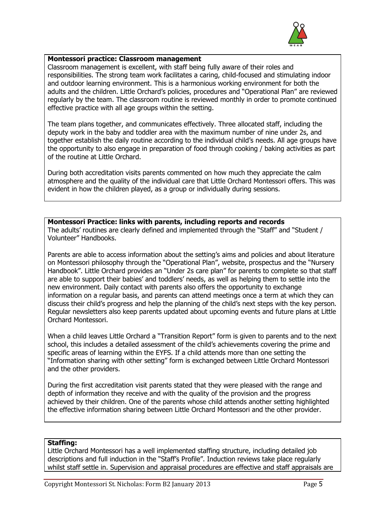

# **Montessori practice: Classroom management**

Classroom management is excellent, with staff being fully aware of their roles and responsibilities. The strong team work facilitates a caring, child-focused and stimulating indoor and outdoor learning environment. This is a harmonious working environment for both the adults and the children. Little Orchard's policies, procedures and "Operational Plan" are reviewed regularly by the team. The classroom routine is reviewed monthly in order to promote continued effective practice with all age groups within the setting.

The team plans together, and communicates effectively. Three allocated staff, including the deputy work in the baby and toddler area with the maximum number of nine under 2s, and together establish the daily routine according to the individual child's needs. All age groups have the opportunity to also engage in preparation of food through cooking / baking activities as part of the routine at Little Orchard.

During both accreditation visits parents commented on how much they appreciate the calm atmosphere and the quality of the individual care that Little Orchard Montessori offers. This was evident in how the children played, as a group or individually during sessions.

#### **Montessori Practice: links with parents, including reports and records**

The adults' routines are clearly defined and implemented through the "Staff" and "Student / Volunteer" Handbooks.

Parents are able to access information about the setting's aims and policies and about literature on Montessori philosophy through the "Operational Plan", website, prospectus and the "Nursery Handbook". Little Orchard provides an "Under 2s care plan" for parents to complete so that staff are able to support their babies' and toddlers' needs, as well as helping them to settle into the new environment. Daily contact with parents also offers the opportunity to exchange information on a regular basis, and parents can attend meetings once a term at which they can discuss their child's progress and help the planning of the child's next steps with the key person. Regular newsletters also keep parents updated about upcoming events and future plans at Little Orchard Montessori.

When a child leaves Little Orchard a "Transition Report" form is given to parents and to the next school, this includes a detailed assessment of the child's achievements covering the prime and specific areas of learning within the EYFS. If a child attends more than one setting the "Information sharing with other setting" form is exchanged between Little Orchard Montessori and the other providers.

During the first accreditation visit parents stated that they were pleased with the range and depth of information they receive and with the quality of the provision and the progress achieved by their children. One of the parents whose child attends another setting highlighted the effective information sharing between Little Orchard Montessori and the other provider.

# **Staffing:**

Little Orchard Montessori has a well implemented staffing structure, including detailed job descriptions and full induction in the "Staff's Profile". Induction reviews take place regularly whilst staff settle in. Supervision and appraisal procedures are effective and staff appraisals are